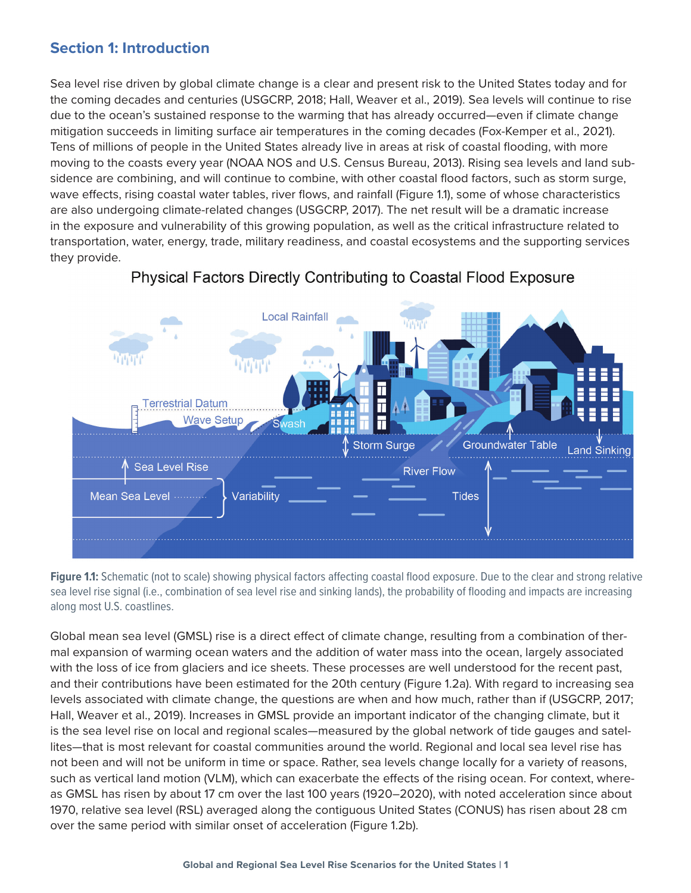## **Section 1: Introduction**

Sea level rise driven by global climate change is a clear and present risk to the United States today and for the coming decades and centuries (USGCRP, 2018; Hall, Weaver et al., 2019). Sea levels will continue to rise due to the ocean's sustained response to the warming that has already occurred—even if climate change mitigation succeeds in limiting surface air temperatures in the coming decades (Fox-Kemper et al., 2021). Tens of millions of people in the United States already live in areas at risk of coastal flooding, with more moving to the coasts every year (NOAA NOS and U.S. Census Bureau, 2013). Rising sea levels and land subsidence are combining, and will continue to combine, with other coastal flood factors, such as storm surge, wave effects, rising coastal water tables, river flows, and rainfall (Figure 1.1), some of whose characteristics are also undergoing climate-related changes (USGCRP, 2017). The net result will be a dramatic increase in the exposure and vulnerability of this growing population, as well as the critical infrastructure related to transportation, water, energy, trade, military readiness, and coastal ecosystems and the supporting services they provide.



## Physical Factors Directly Contributing to Coastal Flood Exposure

**Figure 1.1:** Schematic (not to scale) showing physical factors affecting coastal flood exposure. Due to the clear and strong relative sea level rise signal (i.e., combination of sea level rise and sinking lands), the probability of flooding and impacts are increasing along most U.S. coastlines.

Global mean sea level (GMSL) rise is a direct effect of climate change, resulting from a combination of thermal expansion of warming ocean waters and the addition of water mass into the ocean, largely associated with the loss of ice from glaciers and ice sheets. These processes are well understood for the recent past, and their contributions have been estimated for the 20th century (Figure 1.2a). With regard to increasing sea levels associated with climate change, the questions are when and how much, rather than if (USGCRP, 2017; Hall, Weaver et al., 2019). Increases in GMSL provide an important indicator of the changing climate, but it is the sea level rise on local and regional scales—measured by the global network of tide gauges and satellites—that is most relevant for coastal communities around the world. Regional and local sea level rise has not been and will not be uniform in time or space. Rather, sea levels change locally for a variety of reasons, such as vertical land motion (VLM), which can exacerbate the effects of the rising ocean. For context, whereas GMSL has risen by about 17 cm over the last 100 years (1920–2020), with noted acceleration since about 1970, relative sea level (RSL) averaged along the contiguous United States (CONUS) has risen about 28 cm over the same period with similar onset of acceleration (Figure 1.2b).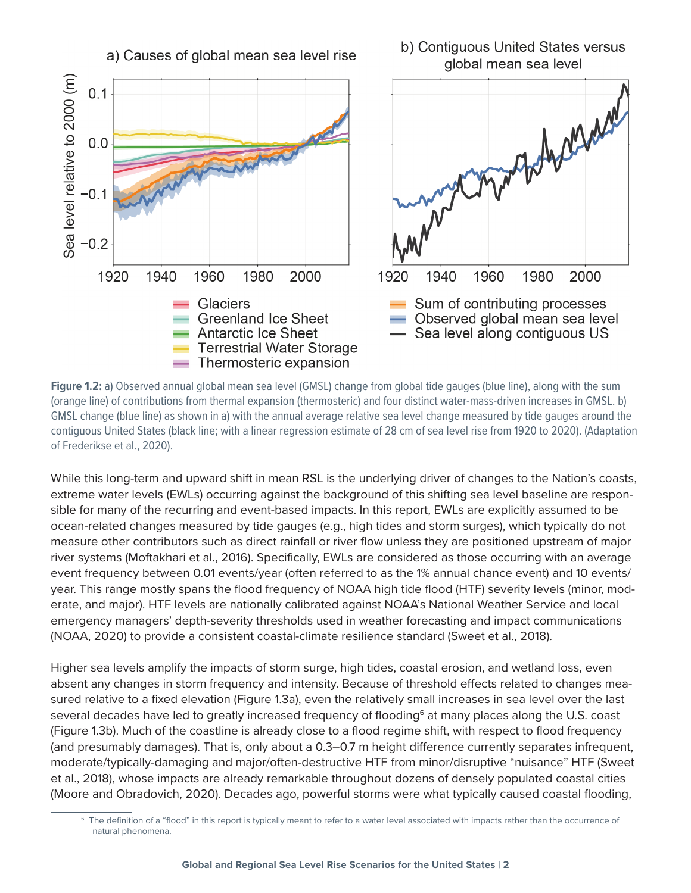

**Figure 1.2:** a) Observed annual global mean sea level (GMSL) change from global tide gauges (blue line), along with the sum (orange line) of contributions from thermal expansion (thermosteric) and four distinct water-mass-driven increases in GMSL. b) GMSL change (blue line) as shown in a) with the annual average relative sea level change measured by tide gauges around the contiguous United States (black line; with a linear regression estimate of 28 cm of sea level rise from 1920 to 2020). (Adaptation of Frederikse et al., 2020).

While this long-term and upward shift in mean RSL is the underlying driver of changes to the Nation's coasts, extreme water levels (EWLs) occurring against the background of this shifting sea level baseline are responsible for many of the recurring and event-based impacts. In this report, EWLs are explicitly assumed to be ocean-related changes measured by tide gauges (e.g., high tides and storm surges), which typically do not measure other contributors such as direct rainfall or river flow unless they are positioned upstream of major river systems (Moftakhari et al., 2016). Specifically, EWLs are considered as those occurring with an average event frequency between 0.01 events/year (often referred to as the 1% annual chance event) and 10 events/ year. This range mostly spans the flood frequency of NOAA high tide flood (HTF) severity levels (minor, moderate, and major). HTF levels are nationally calibrated against NOAA's National Weather Service and local emergency managers' depth-severity thresholds used in weather forecasting and impact communications (NOAA, 2020) to provide a consistent coastal-climate resilience standard (Sweet et al., 2018).

Higher sea levels amplify the impacts of storm surge, high tides, coastal erosion, and wetland loss, even absent any changes in storm frequency and intensity. Because of threshold effects related to changes measured relative to a fixed elevation (Figure 1.3a), even the relatively small increases in sea level over the last several decades have led to greatly increased frequency of flooding<sup>6</sup> at many places along the U.S. coast (Figure 1.3b). Much of the coastline is already close to a flood regime shift, with respect to flood frequency (and presumably damages). That is, only about a 0.3–0.7 m height difference currently separates infrequent, moderate/typically-damaging and major/often-destructive HTF from minor/disruptive "nuisance" HTF (Sweet et al., 2018), whose impacts are already remarkable throughout dozens of densely populated coastal cities (Moore and Obradovich, 2020). Decades ago, powerful storms were what typically caused coastal flooding,

<sup>&</sup>lt;sup>6</sup> The definition of a "flood" in this report is typically meant to refer to a water level associated with impacts rather than the occurrence of natural phenomena.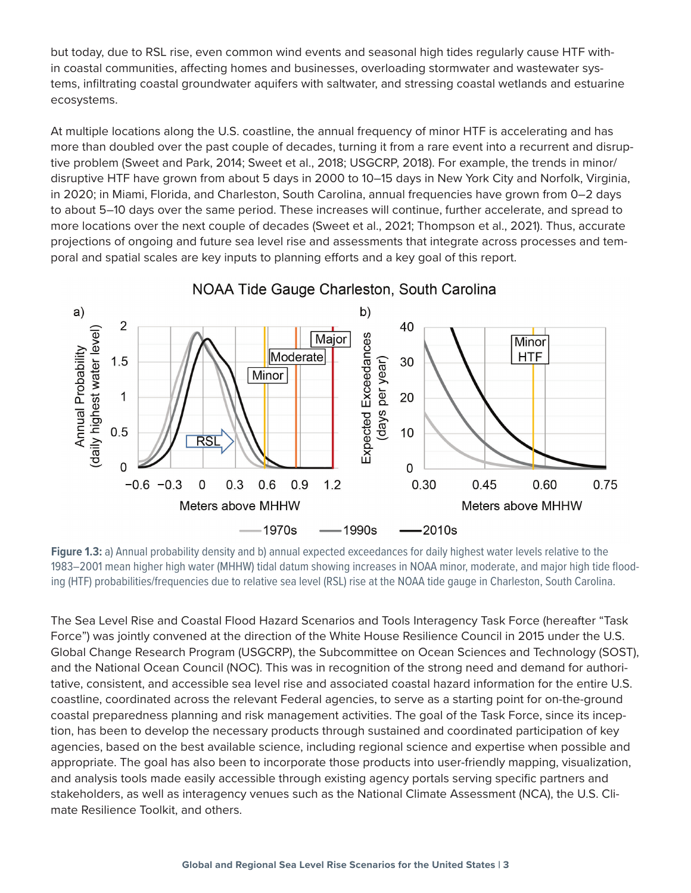but today, due to RSL rise, even common wind events and seasonal high tides regularly cause HTF within coastal communities, affecting homes and businesses, overloading stormwater and wastewater systems, infiltrating coastal groundwater aquifers with saltwater, and stressing coastal wetlands and estuarine ecosystems.

At multiple locations along the U.S. coastline, the annual frequency of minor HTF is accelerating and has more than doubled over the past couple of decades, turning it from a rare event into a recurrent and disruptive problem (Sweet and Park, 2014; Sweet et al., 2018; USGCRP, 2018). For example, the trends in minor/ disruptive HTF have grown from about 5 days in 2000 to 10–15 days in New York City and Norfolk, Virginia, in 2020; in Miami, Florida, and Charleston, South Carolina, annual frequencies have grown from 0–2 days to about 5–10 days over the same period. These increases will continue, further accelerate, and spread to more locations over the next couple of decades (Sweet et al., 2021; Thompson et al., 2021). Thus, accurate projections of ongoing and future sea level rise and assessments that integrate across processes and temporal and spatial scales are key inputs to planning efforts and a key goal of this report.



## NOAA Tide Gauge Charleston, South Carolina

Figure 1.3: a) Annual probability density and b) annual expected exceedances for daily highest water levels relative to the 1983–2001 mean higher high water (MHHW) tidal datum showing increases in NOAA minor, moderate, and major high tide flooding (HTF) probabilities/frequencies due to relative sea level (RSL) rise at the NOAA tide gauge in Charleston, South Carolina.

The Sea Level Rise and Coastal Flood Hazard Scenarios and Tools Interagency Task Force (hereafter "Task Force") was jointly convened at the direction of the White House Resilience Council in 2015 under the U.S. Global Change Research Program (USGCRP), the Subcommittee on Ocean Sciences and Technology (SOST), and the National Ocean Council (NOC). This was in recognition of the strong need and demand for authoritative, consistent, and accessible sea level rise and associated coastal hazard information for the entire U.S. coastline, coordinated across the relevant Federal agencies, to serve as a starting point for on-the-ground coastal preparedness planning and risk management activities. The goal of the Task Force, since its inception, has been to develop the necessary products through sustained and coordinated participation of key agencies, based on the best available science, including regional science and expertise when possible and appropriate. The goal has also been to incorporate those products into user-friendly mapping, visualization, and analysis tools made easily accessible through existing agency portals serving specific partners and stakeholders, as well as interagency venues such as the National Climate Assessment (NCA), the U.S. Climate Resilience Toolkit, and others.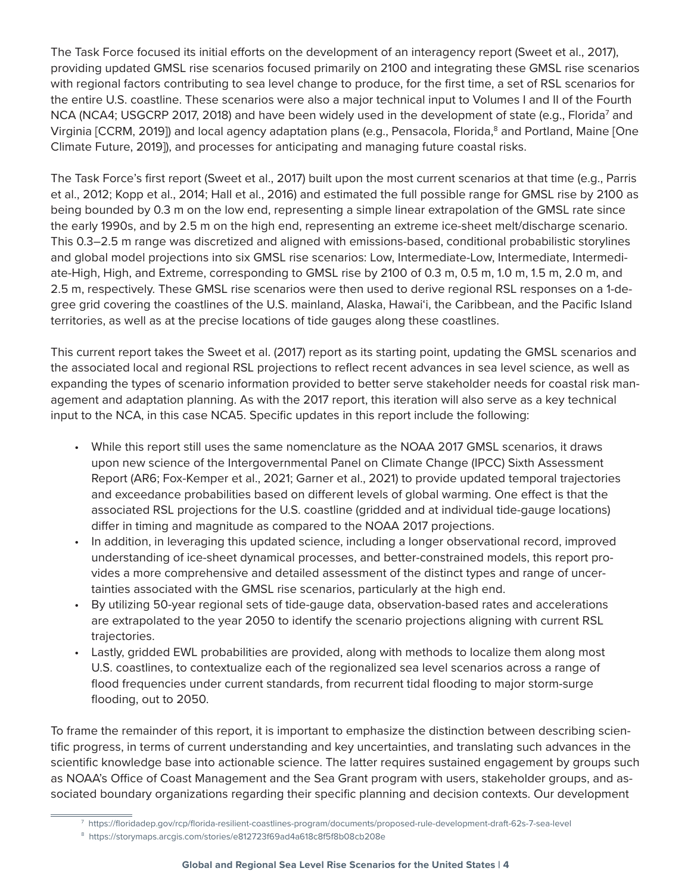The Task Force focused its initial efforts on the development of an interagency report (Sweet et al., 2017), providing updated GMSL rise scenarios focused primarily on 2100 and integrating these GMSL rise scenarios with regional factors contributing to sea level change to produce, for the first time, a set of RSL scenarios for the entire U.S. coastline. These scenarios were also a major technical input to Volumes I and II of the Fourth NCA (NCA4; USGCRP 2017, 2018) and have been widely used in the development of state (e.g., Florida<sup>7</sup> and Virginia [CCRM, 2019]) and local agency adaptation plans (e.g., Pensacola, Florida,<sup>8</sup> and Portland, Maine [One Climate Future, 2019]), and processes for anticipating and managing future coastal risks.

The Task Force's first report (Sweet et al., 2017) built upon the most current scenarios at that time (e.g., Parris et al., 2012; Kopp et al., 2014; Hall et al., 2016) and estimated the full possible range for GMSL rise by 2100 as being bounded by 0.3 m on the low end, representing a simple linear extrapolation of the GMSL rate since the early 1990s, and by 2.5 m on the high end, representing an extreme ice-sheet melt/discharge scenario. This 0.3–2.5 m range was discretized and aligned with emissions-based, conditional probabilistic storylines and global model projections into six GMSL rise scenarios: Low, Intermediate-Low, Intermediate, Intermediate-High, High, and Extreme, corresponding to GMSL rise by 2100 of 0.3 m, 0.5 m, 1.0 m, 1.5 m, 2.0 m, and 2.5 m, respectively. These GMSL rise scenarios were then used to derive regional RSL responses on a 1-degree grid covering the coastlines of the U.S. mainland, Alaska, Hawai'i, the Caribbean, and the Pacific Island territories, as well as at the precise locations of tide gauges along these coastlines.

This current report takes the Sweet et al. (2017) report as its starting point, updating the GMSL scenarios and the associated local and regional RSL projections to reflect recent advances in sea level science, as well as expanding the types of scenario information provided to better serve stakeholder needs for coastal risk management and adaptation planning. As with the 2017 report, this iteration will also serve as a key technical input to the NCA, in this case NCA5. Specific updates in this report include the following:

- While this report still uses the same nomenclature as the NOAA 2017 GMSL scenarios, it draws upon new science of the Intergovernmental Panel on Climate Change (IPCC) Sixth Assessment Report (AR6; Fox-Kemper et al., 2021; Garner et al., 2021) to provide updated temporal trajectories and exceedance probabilities based on different levels of global warming. One effect is that the associated RSL projections for the U.S. coastline (gridded and at individual tide-gauge locations) differ in timing and magnitude as compared to the NOAA 2017 projections.
- In addition, in leveraging this updated science, including a longer observational record, improved understanding of ice-sheet dynamical processes, and better-constrained models, this report provides a more comprehensive and detailed assessment of the distinct types and range of uncertainties associated with the GMSL rise scenarios, particularly at the high end.
- By utilizing 50-year regional sets of tide-gauge data, observation-based rates and accelerations are extrapolated to the year 2050 to identify the scenario projections aligning with current RSL trajectories.
- Lastly, gridded EWL probabilities are provided, along with methods to localize them along most U.S. coastlines, to contextualize each of the regionalized sea level scenarios across a range of flood frequencies under current standards, from recurrent tidal flooding to major storm-surge flooding, out to 2050.

To frame the remainder of this report, it is important to emphasize the distinction between describing scientific progress, in terms of current understanding and key uncertainties, and translating such advances in the scientific knowledge base into actionable science. The latter requires sustained engagement by groups such as NOAA's Office of Coast Management and the Sea Grant program with users, stakeholder groups, and associated boundary organizations regarding their specific planning and decision contexts. Our development

<sup>7</sup> https://floridadep.gov/rcp/florida-resilient-coastlines-program/documents/proposed-rule-development-draft-62s-7-sea-level

<sup>8</sup> https://storymaps.arcgis.com/stories/e812723f69ad4a618c8f5f8b08cb208e